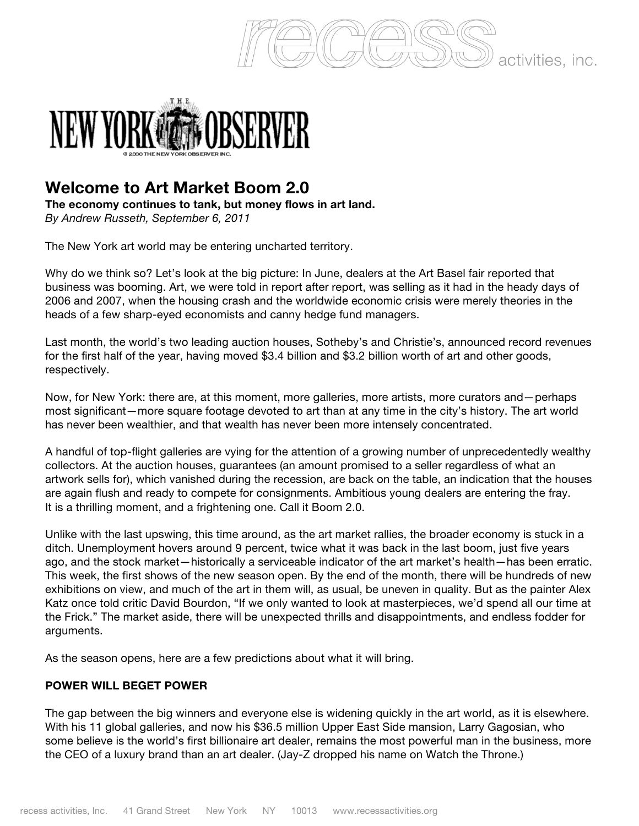

# **Welcome to Art Market Boom 2.0**

**The economy continues to tank, but money flows in art land.**

*By Andrew Russeth, September 6, 2011*

The New York art world may be entering uncharted territory.

Why do we think so? Let's look at the big picture: In June, dealers at the Art Basel fair reported that business was booming. Art, we were told in report after report, was selling as it had in the heady days of 2006 and 2007, when the housing crash and the worldwide economic crisis were merely theories in the heads of a few sharp-eyed economists and canny hedge fund managers.

activities, inc.

Last month, the world's two leading auction houses, Sotheby's and Christie's, announced record revenues for the first half of the year, having moved \$3.4 billion and \$3.2 billion worth of art and other goods, respectively.

Now, for New York: there are, at this moment, more galleries, more artists, more curators and—perhaps most significant—more square footage devoted to art than at any time in the city's history. The art world has never been wealthier, and that wealth has never been more intensely concentrated.

A handful of top-flight galleries are vying for the attention of a growing number of unprecedentedly wealthy collectors. At the auction houses, guarantees (an amount promised to a seller regardless of what an artwork sells for), which vanished during the recession, are back on the table, an indication that the houses are again flush and ready to compete for consignments. Ambitious young dealers are entering the fray. It is a thrilling moment, and a frightening one. Call it Boom 2.0.

Unlike with the last upswing, this time around, as the art market rallies, the broader economy is stuck in a ditch. Unemployment hovers around 9 percent, twice what it was back in the last boom, just five years ago, and the stock market—historically a serviceable indicator of the art market's health—has been erratic. This week, the first shows of the new season open. By the end of the month, there will be hundreds of new exhibitions on view, and much of the art in them will, as usual, be uneven in quality. But as the painter Alex Katz once told critic David Bourdon, "If we only wanted to look at masterpieces, we'd spend all our time at the Frick." The market aside, there will be unexpected thrills and disappointments, and endless fodder for arguments.

As the season opens, here are a few predictions about what it will bring.

## **POWER WILL BEGET POWER**

The gap between the big winners and everyone else is widening quickly in the art world, as it is elsewhere. With his 11 global galleries, and now his \$36.5 million Upper East Side mansion, Larry Gagosian, who some believe is the world's first billionaire art dealer, remains the most powerful man in the business, more the CEO of a luxury brand than an art dealer. (Jay-Z dropped his name on Watch the Throne.)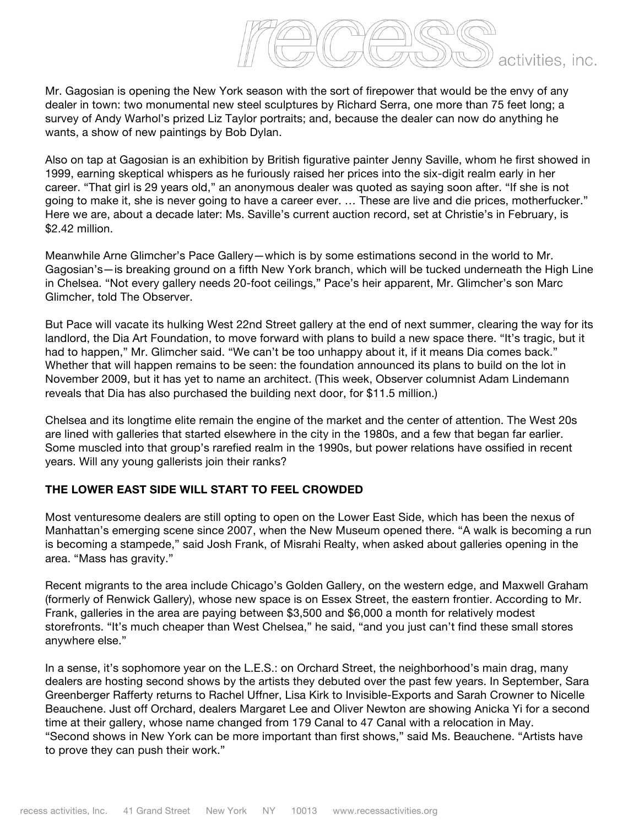Mr. Gagosian is opening the New York season with the sort of firepower that would be the envy of any dealer in town: two monumental new steel sculptures by Richard Serra, one more than 75 feet long; a survey of Andy Warhol's prized Liz Taylor portraits; and, because the dealer can now do anything he wants, a show of new paintings by Bob Dylan.

activities, inc.

Also on tap at Gagosian is an exhibition by British figurative painter Jenny Saville, whom he first showed in 1999, earning skeptical whispers as he furiously raised her prices into the six-digit realm early in her career. "That girl is 29 years old," an anonymous dealer was quoted as saying soon after. "If she is not going to make it, she is never going to have a career ever. … These are live and die prices, motherfucker." Here we are, about a decade later: Ms. Saville's current auction record, set at Christie's in February, is \$2.42 million.

Meanwhile Arne Glimcher's Pace Gallery—which is by some estimations second in the world to Mr. Gagosian's—is breaking ground on a fifth New York branch, which will be tucked underneath the High Line in Chelsea. "Not every gallery needs 20-foot ceilings," Pace's heir apparent, Mr. Glimcher's son Marc Glimcher, told The Observer.

But Pace will vacate its hulking West 22nd Street gallery at the end of next summer, clearing the way for its landlord, the Dia Art Foundation, to move forward with plans to build a new space there. "It's tragic, but it had to happen," Mr. Glimcher said. "We can't be too unhappy about it, if it means Dia comes back." Whether that will happen remains to be seen: the foundation announced its plans to build on the lot in November 2009, but it has yet to name an architect. (This week, Observer columnist Adam Lindemann reveals that Dia has also purchased the building next door, for \$11.5 million.)

Chelsea and its longtime elite remain the engine of the market and the center of attention. The West 20s are lined with galleries that started elsewhere in the city in the 1980s, and a few that began far earlier. Some muscled into that group's rarefied realm in the 1990s, but power relations have ossified in recent years. Will any young gallerists join their ranks?

## **THE LOWER EAST SIDE WILL START TO FEEL CROWDED**

Most venturesome dealers are still opting to open on the Lower East Side, which has been the nexus of Manhattan's emerging scene since 2007, when the New Museum opened there. "A walk is becoming a run is becoming a stampede," said Josh Frank, of Misrahi Realty, when asked about galleries opening in the area. "Mass has gravity."

Recent migrants to the area include Chicago's Golden Gallery, on the western edge, and Maxwell Graham (formerly of Renwick Gallery), whose new space is on Essex Street, the eastern frontier. According to Mr. Frank, galleries in the area are paying between \$3,500 and \$6,000 a month for relatively modest storefronts. "It's much cheaper than West Chelsea," he said, "and you just can't find these small stores anywhere else."

In a sense, it's sophomore year on the L.E.S.: on Orchard Street, the neighborhood's main drag, many dealers are hosting second shows by the artists they debuted over the past few years. In September, Sara Greenberger Rafferty returns to Rachel Uffner, Lisa Kirk to Invisible-Exports and Sarah Crowner to Nicelle Beauchene. Just off Orchard, dealers Margaret Lee and Oliver Newton are showing Anicka Yi for a second time at their gallery, whose name changed from 179 Canal to 47 Canal with a relocation in May. "Second shows in New York can be more important than first shows," said Ms. Beauchene. "Artists have to prove they can push their work."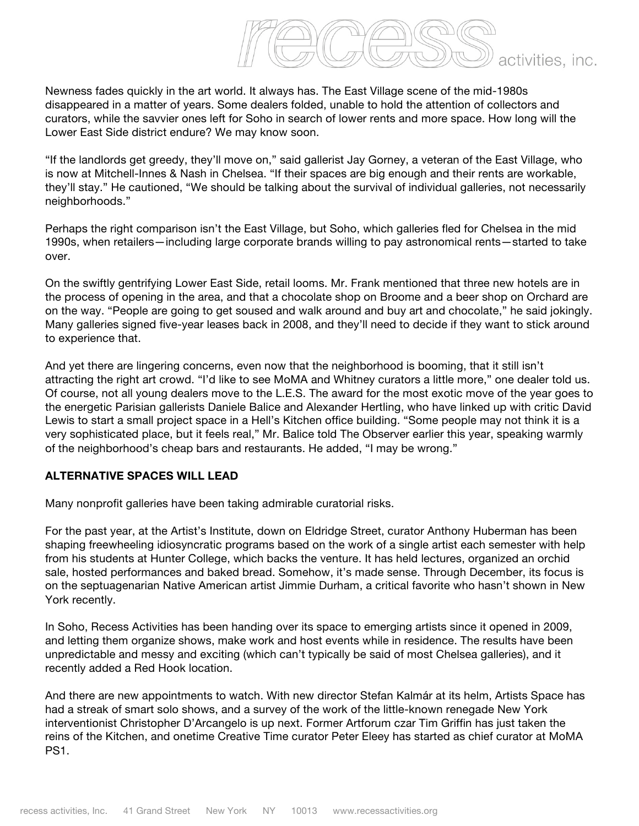

Newness fades quickly in the art world. It always has. The East Village scene of the mid-1980s disappeared in a matter of years. Some dealers folded, unable to hold the attention of collectors and curators, while the savvier ones left for Soho in search of lower rents and more space. How long will the Lower East Side district endure? We may know soon.

"If the landlords get greedy, they'll move on," said gallerist Jay Gorney, a veteran of the East Village, who is now at Mitchell-Innes & Nash in Chelsea. "If their spaces are big enough and their rents are workable, they'll stay." He cautioned, "We should be talking about the survival of individual galleries, not necessarily neighborhoods."

Perhaps the right comparison isn't the East Village, but Soho, which galleries fled for Chelsea in the mid 1990s, when retailers—including large corporate brands willing to pay astronomical rents—started to take over.

On the swiftly gentrifying Lower East Side, retail looms. Mr. Frank mentioned that three new hotels are in the process of opening in the area, and that a chocolate shop on Broome and a beer shop on Orchard are on the way. "People are going to get soused and walk around and buy art and chocolate," he said jokingly. Many galleries signed five-year leases back in 2008, and they'll need to decide if they want to stick around to experience that.

And yet there are lingering concerns, even now that the neighborhood is booming, that it still isn't attracting the right art crowd. "I'd like to see MoMA and Whitney curators a little more," one dealer told us. Of course, not all young dealers move to the L.E.S. The award for the most exotic move of the year goes to the energetic Parisian gallerists Daniele Balice and Alexander Hertling, who have linked up with critic David Lewis to start a small project space in a Hell's Kitchen office building. "Some people may not think it is a very sophisticated place, but it feels real," Mr. Balice told The Observer earlier this year, speaking warmly of the neighborhood's cheap bars and restaurants. He added, "I may be wrong."

## **ALTERNATIVE SPACES WILL LEAD**

Many nonprofit galleries have been taking admirable curatorial risks.

For the past year, at the Artist's Institute, down on Eldridge Street, curator Anthony Huberman has been shaping freewheeling idiosyncratic programs based on the work of a single artist each semester with help from his students at Hunter College, which backs the venture. It has held lectures, organized an orchid sale, hosted performances and baked bread. Somehow, it's made sense. Through December, its focus is on the septuagenarian Native American artist Jimmie Durham, a critical favorite who hasn't shown in New York recently.

In Soho, Recess Activities has been handing over its space to emerging artists since it opened in 2009, and letting them organize shows, make work and host events while in residence. The results have been unpredictable and messy and exciting (which can't typically be said of most Chelsea galleries), and it recently added a Red Hook location.

And there are new appointments to watch. With new director Stefan Kalmár at its helm, Artists Space has had a streak of smart solo shows, and a survey of the work of the little-known renegade New York interventionist Christopher D'Arcangelo is up next. Former Artforum czar Tim Griffin has just taken the reins of the Kitchen, and onetime Creative Time curator Peter Eleey has started as chief curator at MoMA PS1.